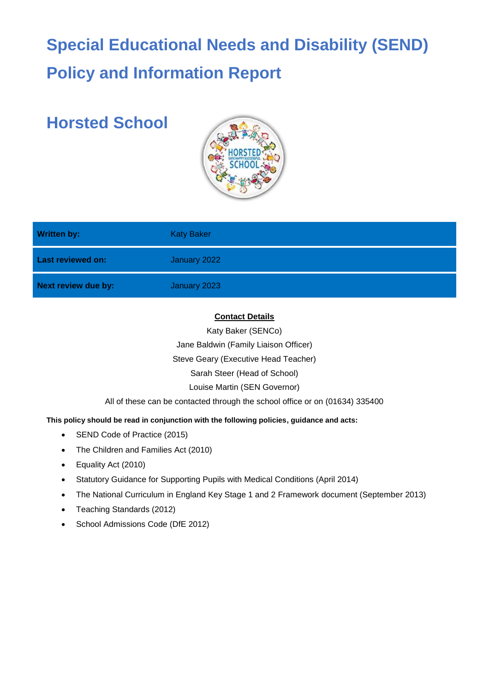# **Special Educational Needs and Disability (SEND) Policy and Information Report**

# **Horsted School**



| <b>Written by:</b>         | <b>Katy Baker</b> |
|----------------------------|-------------------|
| <b>Last reviewed on:</b>   | January 2022      |
| <b>Next review due by:</b> | January 2023      |

### **Contact Details**

Katy Baker (SENCo)

Jane Baldwin (Family Liaison Officer)

Steve Geary (Executive Head Teacher)

Sarah Steer (Head of School)

Louise Martin (SEN Governor)

All of these can be contacted through the school office or on (01634) 335400

# **This policy should be read in conjunction with the following policies, guidance and acts:**

- SEND Code of Practice (2015)
- The Children and Families Act (2010)
- Equality Act (2010)
- Statutory Guidance for Supporting Pupils with Medical Conditions (April 2014)
- The National Curriculum in England Key Stage 1 and 2 Framework document (September 2013)
- Teaching Standards (2012)
- School Admissions Code (DfE 2012)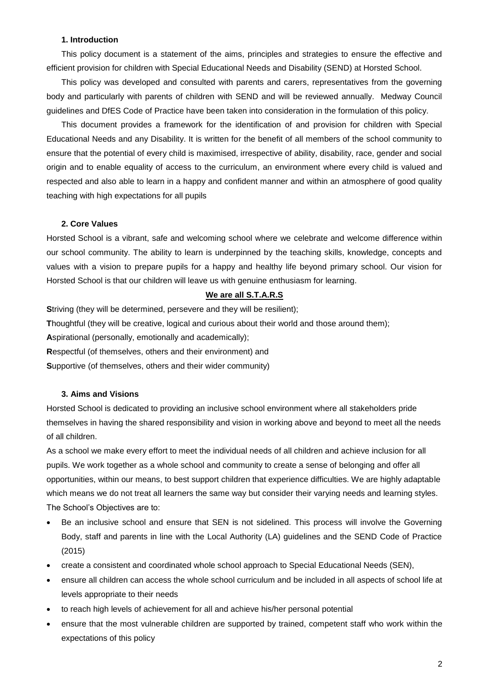#### **1. Introduction**

This policy document is a statement of the aims, principles and strategies to ensure the effective and efficient provision for children with Special Educational Needs and Disability (SEND) at Horsted School.

This policy was developed and consulted with parents and carers, representatives from the governing body and particularly with parents of children with SEND and will be reviewed annually. Medway Council guidelines and DfES Code of Practice have been taken into consideration in the formulation of this policy.

This document provides a framework for the identification of and provision for children with Special Educational Needs and any Disability. It is written for the benefit of all members of the school community to ensure that the potential of every child is maximised, irrespective of ability, disability, race, gender and social origin and to enable equality of access to the curriculum, an environment where every child is valued and respected and also able to learn in a happy and confident manner and within an atmosphere of good quality teaching with high expectations for all pupils

#### **2. Core Values**

Horsted School is a vibrant, safe and welcoming school where we celebrate and welcome difference within our school community. The ability to learn is underpinned by the teaching skills, knowledge, concepts and values with a vision to prepare pupils for a happy and healthy life beyond primary school. Our vision for Horsted School is that our children will leave us with genuine enthusiasm for learning.

#### **We are all S.T.A.R.S**

**Striving (they will be determined, persevere and they will be resilient);** 

**T**houghtful (they will be creative, logical and curious about their world and those around them);

**A**spirational (personally, emotionally and academically);

**R**espectful (of themselves, others and their environment) and

**S**upportive (of themselves, others and their wider community)

#### **3. Aims and Visions**

Horsted School is dedicated to providing an inclusive school environment where all stakeholders pride themselves in having the shared responsibility and vision in working above and beyond to meet all the needs of all children.

As a school we make every effort to meet the individual needs of all children and achieve inclusion for all pupils. We work together as a whole school and community to create a sense of belonging and offer all opportunities, within our means, to best support children that experience difficulties. We are highly adaptable which means we do not treat all learners the same way but consider their varying needs and learning styles. The School's Objectives are to:

- Be an inclusive school and ensure that SEN is not sidelined. This process will involve the Governing Body, staff and parents in line with the Local Authority (LA) guidelines and the SEND Code of Practice (2015)
- create a consistent and coordinated whole school approach to Special Educational Needs (SEN),
- ensure all children can access the whole school curriculum and be included in all aspects of school life at levels appropriate to their needs
- to reach high levels of achievement for all and achieve his/her personal potential
- ensure that the most vulnerable children are supported by trained, competent staff who work within the expectations of this policy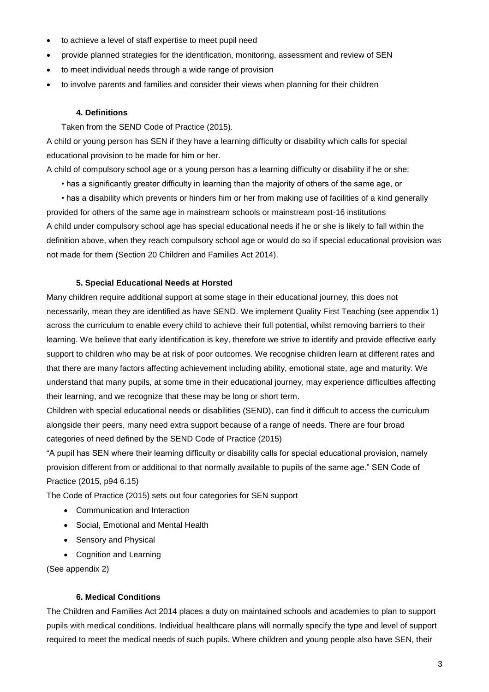- to achieve a level of staff expertise to meet pupil need
- provide planned strategies for the identification, monitoring, assessment and review of SEN
- to meet individual needs through a wide range of provision
- to involve parents and families and consider their views when planning for their children

#### **4. Definitions**

Taken from the SEND Code of Practice (2015).

A child or young person has SEN if they have a learning difficulty or disability which calls for special educational provision to be made for him or her.

A child of compulsory school age or a young person has a learning difficulty or disability if he or she:

• has a significantly greater difficulty in learning than the majority of others of the same age, or

• has a disability which prevents or hinders him or her from making use of facilities of a kind generally provided for others of the same age in mainstream schools or mainstream post-16 institutions A child under compulsory school age has special educational needs if he or she is likely to fall within the definition above, when they reach compulsory school age or would do so if special educational provision was not made for them (Section 20 Children and Families Act 2014).

#### **5. Special Educational Needs at Horsted**

Many children require additional support at some stage in their educational journey, this does not necessarily, mean they are identified as have SEND. We implement Quality First Teaching (see appendix 1) across the curriculum to enable every child to achieve their full potential, whilst removing barriers to their learning. We believe that early identification is key, therefore we strive to identify and provide effective early support to children who may be at risk of poor outcomes. We recognise children learn at different rates and that there are many factors affecting achievement including ability, emotional state, age and maturity. We understand that many pupils, at some time in their educational journey, may experience difficulties affecting their learning, and we recognize that these may be long or short term.

Children with special educational needs or disabilities (SEND), can find it difficult to access the curriculum alongside their peers, many need extra support because of a range of needs. There are four broad categories of need defined by the SEND Code of Practice (2015)

"A pupil has SEN where their learning difficulty or disability calls for special educational provision, namely provision different from or additional to that normally available to pupils of the same age." SEN Code of Practice (2015, p94 6.15)

The Code of Practice (2015) sets out four categories for SEN support

- Communication and Interaction
- Social, Emotional and Mental Health
- Sensory and Physical
- Cognition and Learning

(See appendix 2)

#### **6. Medical Conditions**

The Children and Families Act 2014 places a duty on maintained schools and academies to plan to support pupils with medical conditions. Individual healthcare plans will normally specify the type and level of support required to meet the medical needs of such pupils. Where children and young people also have SEN, their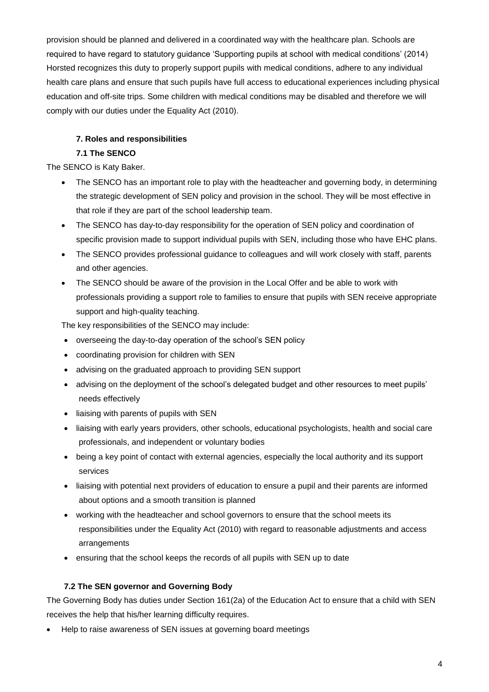provision should be planned and delivered in a coordinated way with the healthcare plan. Schools are required to have regard to statutory guidance 'Supporting pupils at school with medical conditions' (2014) Horsted recognizes this duty to properly support pupils with medical conditions, adhere to any individual health care plans and ensure that such pupils have full access to educational experiences including physical education and off-site trips. Some children with medical conditions may be disabled and therefore we will comply with our duties under the Equality Act (2010).

# **7. Roles and responsibilities**

# **7.1 The SENCO**

The SENCO is Katy Baker.

- The SENCO has an important role to play with the headteacher and governing body, in determining the strategic development of SEN policy and provision in the school. They will be most effective in that role if they are part of the school leadership team.
- The SENCO has day-to-day responsibility for the operation of SEN policy and coordination of specific provision made to support individual pupils with SEN, including those who have EHC plans.
- The SENCO provides professional guidance to colleagues and will work closely with staff, parents and other agencies.
- The SENCO should be aware of the provision in the Local Offer and be able to work with professionals providing a support role to families to ensure that pupils with SEN receive appropriate support and high-quality teaching.

The key responsibilities of the SENCO may include:

- overseeing the day-to-day operation of the school's SEN policy
- coordinating provision for children with SEN
- advising on the graduated approach to providing SEN support
- advising on the deployment of the school's delegated budget and other resources to meet pupils' needs effectively
- liaising with parents of pupils with SEN
- liaising with early years providers, other schools, educational psychologists, health and social care professionals, and independent or voluntary bodies
- being a key point of contact with external agencies, especially the local authority and its support services
- liaising with potential next providers of education to ensure a pupil and their parents are informed about options and a smooth transition is planned
- working with the headteacher and school governors to ensure that the school meets its responsibilities under the Equality Act (2010) with regard to reasonable adjustments and access arrangements
- ensuring that the school keeps the records of all pupils with SEN up to date

# **7.2 The SEN governor and Governing Body**

The Governing Body has duties under Section 161(2a) of the Education Act to ensure that a child with SEN receives the help that his/her learning difficulty requires.

• Help to raise awareness of SEN issues at governing board meetings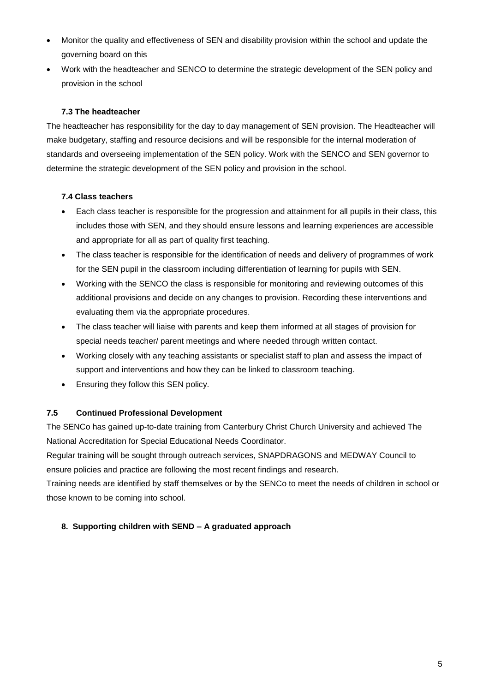- Monitor the quality and effectiveness of SEN and disability provision within the school and update the governing board on this
- Work with the headteacher and SENCO to determine the strategic development of the SEN policy and provision in the school

# **7.3 The headteacher**

The headteacher has responsibility for the day to day management of SEN provision. The Headteacher will make budgetary, staffing and resource decisions and will be responsible for the internal moderation of standards and overseeing implementation of the SEN policy. Work with the SENCO and SEN governor to determine the strategic development of the SEN policy and provision in the school.

# **7.4 Class teachers**

- Each class teacher is responsible for the progression and attainment for all pupils in their class, this includes those with SEN, and they should ensure lessons and learning experiences are accessible and appropriate for all as part of quality first teaching.
- The class teacher is responsible for the identification of needs and delivery of programmes of work for the SEN pupil in the classroom including differentiation of learning for pupils with SEN.
- Working with the SENCO the class is responsible for monitoring and reviewing outcomes of this additional provisions and decide on any changes to provision. Recording these interventions and evaluating them via the appropriate procedures.
- The class teacher will liaise with parents and keep them informed at all stages of provision for special needs teacher/ parent meetings and where needed through written contact.
- Working closely with any teaching assistants or specialist staff to plan and assess the impact of support and interventions and how they can be linked to classroom teaching.
- Ensuring they follow this SEN policy.

# **7.5 Continued Professional Development**

The SENCo has gained up-to-date training from Canterbury Christ Church University and achieved The National Accreditation for Special Educational Needs Coordinator.

Regular training will be sought through outreach services, SNAPDRAGONS and MEDWAY Council to ensure policies and practice are following the most recent findings and research.

Training needs are identified by staff themselves or by the SENCo to meet the needs of children in school or those known to be coming into school.

# **8. Supporting children with SEND – A graduated approach**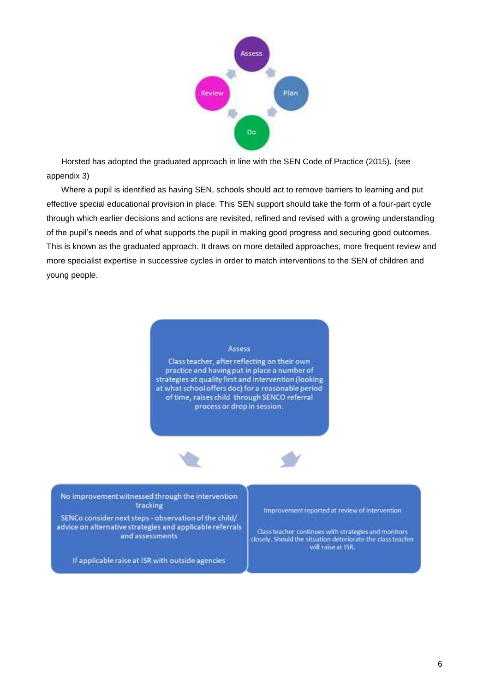

Horsted has adopted the graduated approach in line with the SEN Code of Practice (2015). (see appendix 3)

Where a pupil is identified as having SEN, schools should act to remove barriers to learning and put effective special educational provision in place. This SEN support should take the form of a four-part cycle through which earlier decisions and actions are revisited, refined and revised with a growing understanding of the pupil's needs and of what supports the pupil in making good progress and securing good outcomes. This is known as the graduated approach. It draws on more detailed approaches, more frequent review and more specialist expertise in successive cycles in order to match interventions to the SEN of children and young people.



Class teacher, after reflecting on their own practice and having put in place a number of strategies at quality first and intervention (looking at what school offers doc) for a reasonable period of time, raises child through SENCO referral process or drop in session.





No improvement witnessed through the intervention tracking

SENCo consider next steps - observation of the child/ advice on alternative strategies and applicable referrals and assessments

Improvement reported at review of intervention

Class teacher continues with strategies and monitors closely. Should the situation deteriorate the class teacher will raise at ISR.

If applicable raise at ISR with outside agencies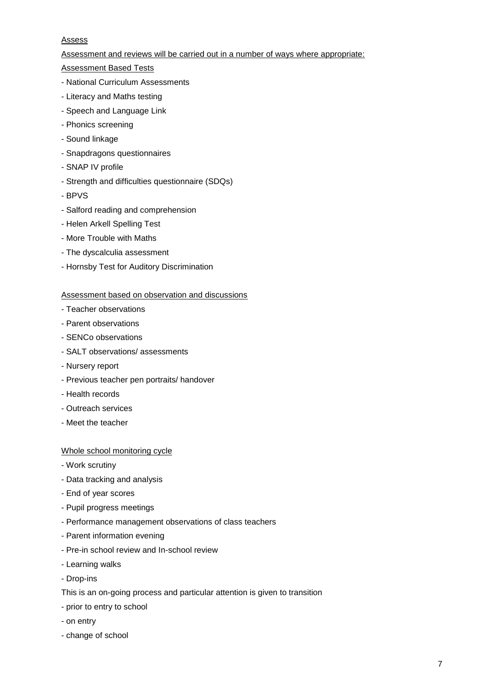#### **Assess**

Assessment and reviews will be carried out in a number of ways where appropriate:

Assessment Based Tests

- National Curriculum Assessments
- Literacy and Maths testing
- Speech and Language Link
- Phonics screening
- Sound linkage
- Snapdragons questionnaires
- SNAP IV profile
- Strength and difficulties questionnaire (SDQs)
- BPVS
- Salford reading and comprehension
- Helen Arkell Spelling Test
- More Trouble with Maths
- The dyscalculia assessment
- Hornsby Test for Auditory Discrimination

#### Assessment based on observation and discussions

- Teacher observations
- Parent observations
- SENCo observations
- SALT observations/ assessments
- Nursery report
- Previous teacher pen portraits/ handover
- Health records
- Outreach services
- Meet the teacher

#### Whole school monitoring cycle

- Work scrutiny
- Data tracking and analysis
- End of year scores
- Pupil progress meetings
- Performance management observations of class teachers
- Parent information evening
- Pre-in school review and In-school review
- Learning walks
- Drop-ins
- This is an on-going process and particular attention is given to transition
- prior to entry to school
- on entry
- change of school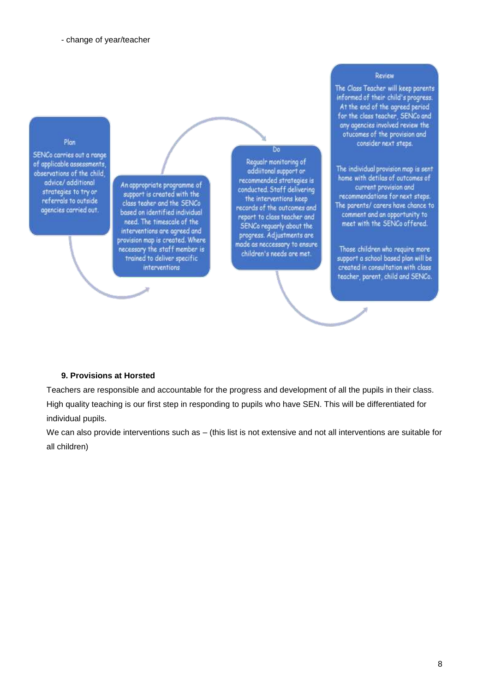#### Plan

SENCo carries out a range of applicable assessments, observations of the child. advice/additional strategies to try or referrals to outside agencies carried out.

An appropriate programme of support is created with the class teaher and the SENCo based on identified individual need. The timescale of the interventions are agreed and<br>provision map is created. Where necessary the staff member is trained to deliver specific interventions

Regualr monitoring of addiitonal support or recommended strategies is conducted. Stoff delivering the interventions keep records of the outcomes and report to class teacher and SENCo reguarly about the<br>progress. Adjustments are made as neccessary to ensure children's needs are met.

Do

#### Review

The Class Teacher will keep parents informed of their child's progress.  ${\small \mathsf{At the end of the agreed period} \atop \text{for the class teacher, SENCo and} }$ any agencies involved review the<br>otucomes of the provision and consider next steps.

The individual provision map is sent home with detilas of outcomes of current provision and recommendations for next steps. The parents/ carers have chance to comment and an opportunity to meet with the SENCo offered.

Those children who require more support a school based plan will be created in consultation with class teacher, parent, child and SENCo.

#### **9. Provisions at Horsted**

Teachers are responsible and accountable for the progress and development of all the pupils in their class. High quality teaching is our first step in responding to pupils who have SEN. This will be differentiated for individual pupils.

We can also provide interventions such as – (this list is not extensive and not all interventions are suitable for all children)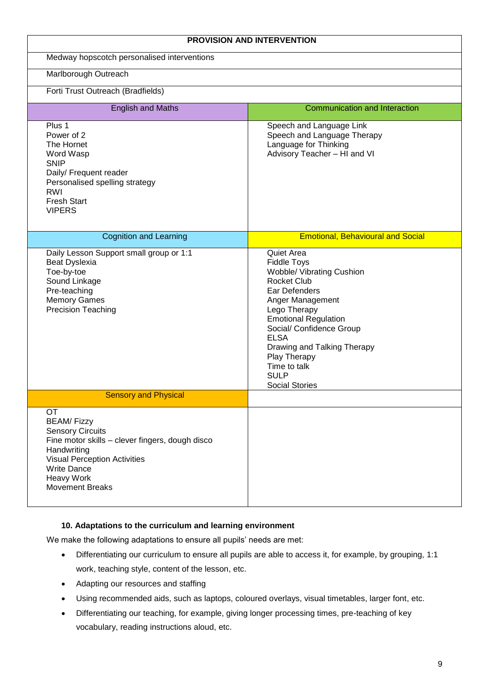|                                                                                                                                                                                                                                         | <b>PROVISION AND INTERVENTION</b>                                                                                                                                                                                                                                                                                                |  |
|-----------------------------------------------------------------------------------------------------------------------------------------------------------------------------------------------------------------------------------------|----------------------------------------------------------------------------------------------------------------------------------------------------------------------------------------------------------------------------------------------------------------------------------------------------------------------------------|--|
| Medway hopscotch personalised interventions                                                                                                                                                                                             |                                                                                                                                                                                                                                                                                                                                  |  |
| Marlborough Outreach                                                                                                                                                                                                                    |                                                                                                                                                                                                                                                                                                                                  |  |
| Forti Trust Outreach (Bradfields)                                                                                                                                                                                                       |                                                                                                                                                                                                                                                                                                                                  |  |
| <b>English and Maths</b>                                                                                                                                                                                                                | <b>Communication and Interaction</b>                                                                                                                                                                                                                                                                                             |  |
| Plus 1<br>Power of 2<br>The Hornet<br>Word Wasp<br><b>SNIP</b><br>Daily/ Frequent reader<br>Personalised spelling strategy<br><b>RWI</b><br><b>Fresh Start</b><br><b>VIPERS</b>                                                         | Speech and Language Link<br>Speech and Language Therapy<br>Language for Thinking<br>Advisory Teacher - HI and VI                                                                                                                                                                                                                 |  |
| <b>Cognition and Learning</b>                                                                                                                                                                                                           | <b>Emotional, Behavioural and Social</b>                                                                                                                                                                                                                                                                                         |  |
| Daily Lesson Support small group or 1:1<br>Beat Dyslexia<br>Toe-by-toe<br>Sound Linkage<br>Pre-teaching<br><b>Memory Games</b><br><b>Precision Teaching</b>                                                                             | Quiet Area<br><b>Fiddle Toys</b><br><b>Wobble/ Vibrating Cushion</b><br><b>Rocket Club</b><br>Ear Defenders<br>Anger Management<br>Lego Therapy<br><b>Emotional Regulation</b><br>Social/ Confidence Group<br><b>ELSA</b><br>Drawing and Talking Therapy<br>Play Therapy<br>Time to talk<br><b>SULP</b><br><b>Social Stories</b> |  |
| <b>Sensory and Physical</b>                                                                                                                                                                                                             |                                                                                                                                                                                                                                                                                                                                  |  |
| <b>OT</b><br><b>BEAM/Fizzy</b><br><b>Sensory Circuits</b><br>Fine motor skills - clever fingers, dough disco<br>Handwriting<br><b>Visual Perception Activities</b><br><b>Write Dance</b><br><b>Heavy Work</b><br><b>Movement Breaks</b> |                                                                                                                                                                                                                                                                                                                                  |  |

#### **10. Adaptations to the curriculum and learning environment**

We make the following adaptations to ensure all pupils' needs are met:

- Differentiating our curriculum to ensure all pupils are able to access it, for example, by grouping, 1:1 work, teaching style, content of the lesson, etc.
- Adapting our resources and staffing
- Using recommended aids, such as laptops, coloured overlays, visual timetables, larger font, etc.
- Differentiating our teaching, for example, giving longer processing times, pre-teaching of key vocabulary, reading instructions aloud, etc.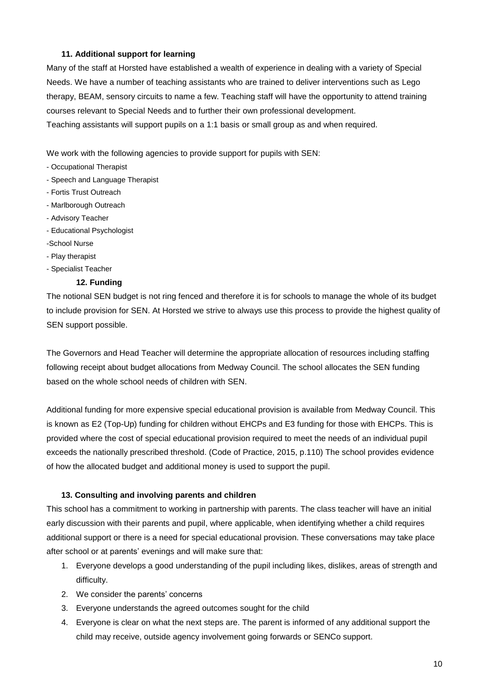## **11. Additional support for learning**

Many of the staff at Horsted have established a wealth of experience in dealing with a variety of Special Needs. We have a number of teaching assistants who are trained to deliver interventions such as Lego therapy, BEAM, sensory circuits to name a few. Teaching staff will have the opportunity to attend training courses relevant to Special Needs and to further their own professional development.

Teaching assistants will support pupils on a 1:1 basis or small group as and when required.

We work with the following agencies to provide support for pupils with SEN:

- Occupational Therapist
- Speech and Language Therapist
- Fortis Trust Outreach
- Marlborough Outreach
- Advisory Teacher
- Educational Psychologist
- -School Nurse
- Play therapist
- Specialist Teacher

### **12. Funding**

The notional SEN budget is not ring fenced and therefore it is for schools to manage the whole of its budget to include provision for SEN. At Horsted we strive to always use this process to provide the highest quality of SEN support possible.

The Governors and Head Teacher will determine the appropriate allocation of resources including staffing following receipt about budget allocations from Medway Council. The school allocates the SEN funding based on the whole school needs of children with SEN.

Additional funding for more expensive special educational provision is available from Medway Council. This is known as E2 (Top-Up) funding for children without EHCPs and E3 funding for those with EHCPs. This is provided where the cost of special educational provision required to meet the needs of an individual pupil exceeds the nationally prescribed threshold. (Code of Practice, 2015, p.110) The school provides evidence of how the allocated budget and additional money is used to support the pupil.

# **13. Consulting and involving parents and children**

This school has a commitment to working in partnership with parents. The class teacher will have an initial early discussion with their parents and pupil, where applicable, when identifying whether a child requires additional support or there is a need for special educational provision. These conversations may take place after school or at parents' evenings and will make sure that:

- 1. Everyone develops a good understanding of the pupil including likes, dislikes, areas of strength and difficulty.
- 2. We consider the parents' concerns
- 3. Everyone understands the agreed outcomes sought for the child
- 4. Everyone is clear on what the next steps are. The parent is informed of any additional support the child may receive, outside agency involvement going forwards or SENCo support.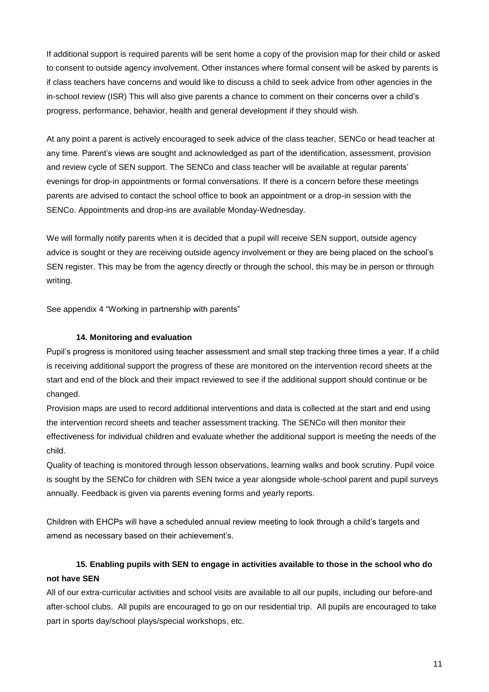If additional support is required parents will be sent home a copy of the provision map for their child or asked to consent to outside agency involvement. Other instances where formal consent will be asked by parents is if class teachers have concerns and would like to discuss a child to seek advice from other agencies in the in-school review (ISR) This will also give parents a chance to comment on their concerns over a child's progress, performance, behavior, health and general development if they should wish.

At any point a parent is actively encouraged to seek advice of the class teacher, SENCo or head teacher at any time. Parent's views are sought and acknowledged as part of the identification, assessment, provision and review cycle of SEN support. The SENCo and class teacher will be available at regular parents' evenings for drop-in appointments or formal conversations. If there is a concern before these meetings parents are advised to contact the school office to book an appointment or a drop-in session with the SENCo. Appointments and drop-ins are available Monday-Wednesday.

We will formally notify parents when it is decided that a pupil will receive SEN support, outside agency advice is sought or they are receiving outside agency involvement or they are being placed on the school's SEN register. This may be from the agency directly or through the school, this may be in person or through writing.

See appendix 4 "Working in partnership with parents"

#### **14. Monitoring and evaluation**

Pupil's progress is monitored using teacher assessment and small step tracking three times a year. If a child is receiving additional support the progress of these are monitored on the intervention record sheets at the start and end of the block and their impact reviewed to see if the additional support should continue or be changed.

Provision maps are used to record additional interventions and data is collected at the start and end using the intervention record sheets and teacher assessment tracking. The SENCo will then monitor their effectiveness for individual children and evaluate whether the additional support is meeting the needs of the child.

Quality of teaching is monitored through lesson observations, learning walks and book scrutiny. Pupil voice is sought by the SENCo for children with SEN twice a year alongside whole-school parent and pupil surveys annually. Feedback is given via parents evening forms and yearly reports.

Children with EHCPs will have a scheduled annual review meeting to look through a child's targets and amend as necessary based on their achievement's.

# **15. Enabling pupils with SEN to engage in activities available to those in the school who do not have SEN**

All of our extra-curricular activities and school visits are available to all our pupils, including our before-and after-school clubs. All pupils are encouraged to go on our residential trip. All pupils are encouraged to take part in sports day/school plays/special workshops, etc.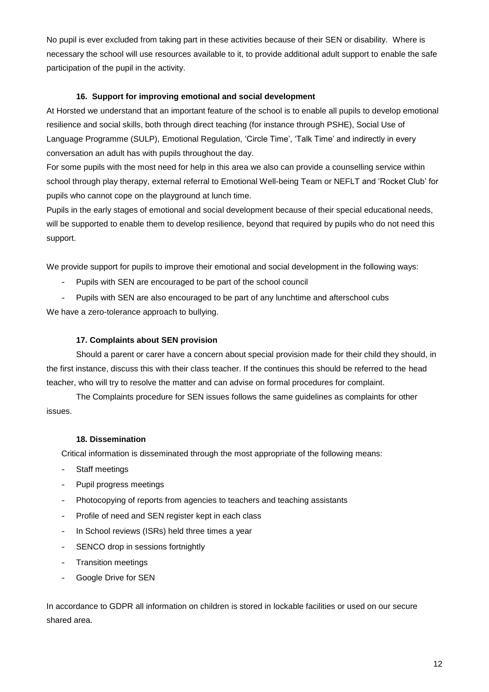No pupil is ever excluded from taking part in these activities because of their SEN or disability. Where is necessary the school will use resources available to it, to provide additional adult support to enable the safe participation of the pupil in the activity.

# **16. Support for improving emotional and social development**

At Horsted we understand that an important feature of the school is to enable all pupils to develop emotional resilience and social skills, both through direct teaching (for instance through PSHE), Social Use of Language Programme (SULP), Emotional Regulation, 'Circle Time', 'Talk Time' and indirectly in every conversation an adult has with pupils throughout the day.

For some pupils with the most need for help in this area we also can provide a counselling service within school through play therapy, external referral to Emotional Well-being Team or NEFLT and 'Rocket Club' for pupils who cannot cope on the playground at lunch time.

Pupils in the early stages of emotional and social development because of their special educational needs, will be supported to enable them to develop resilience, beyond that required by pupils who do not need this support.

We provide support for pupils to improve their emotional and social development in the following ways:

- Pupils with SEN are encouraged to be part of the school council
- Pupils with SEN are also encouraged to be part of any lunchtime and afterschool cubs We have a zero-tolerance approach to bullying.

# **17. Complaints about SEN provision**

Should a parent or carer have a concern about special provision made for their child they should, in the first instance, discuss this with their class teacher. If the continues this should be referred to the head teacher, who will try to resolve the matter and can advise on formal procedures for complaint.

The Complaints procedure for SEN issues follows the same guidelines as complaints for other issues.

# **18. Dissemination**

Critical information is disseminated through the most appropriate of the following means:

- Staff meetings
- Pupil progress meetings
- Photocopying of reports from agencies to teachers and teaching assistants
- Profile of need and SEN register kept in each class
- In School reviews (ISRs) held three times a year
- SENCO drop in sessions fortnightly
- Transition meetings
- Google Drive for SEN

In accordance to GDPR all information on children is stored in lockable facilities or used on our secure shared area.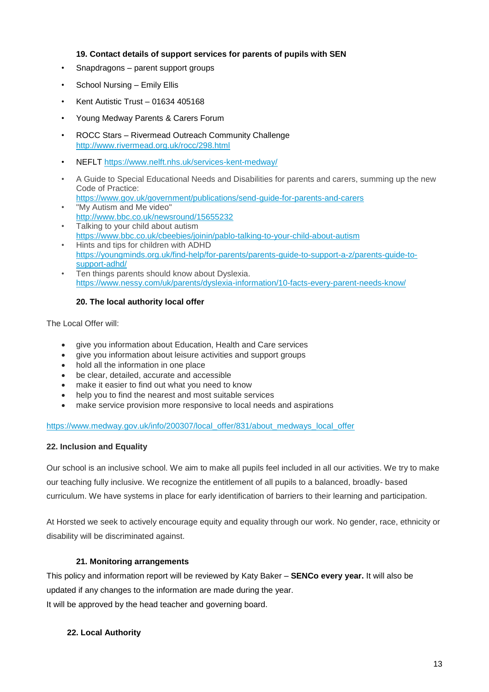## **19. Contact details of support services for parents of pupils with SEN**

- Snapdragons parent support groups
- School Nursing Emily Ellis
- Kent Autistic Trust 01634 405168
- Young Medway Parents & Carers Forum
- ROCC Stars Rivermead Outreach Community Challenge <http://www.rivermead.org.uk/rocc/298.html>
- NEFLT<https://www.nelft.nhs.uk/services-kent-medway/>
- A Guide to Special Educational Needs and Disabilities for parents and carers, summing up the new Code of Practice:
- <https://www.gov.uk/government/publications/send-guide-for-parents-and-carers> "My Autism and Me video"
- <http://www.bbc.co.uk/newsround/15655232> Talking to your child about autism
- <https://www.bbc.co.uk/cbeebies/joinin/pablo-talking-to-your-child-about-autism> • Hints and tips for children with ADHD
- [https://youngminds.org.uk/find-help/for-parents/parents-guide-to-support-a-z/parents-guide-to](https://youngminds.org.uk/find-help/for-parents/parents-guide-to-support-a-z/parents-guide-to-support-adhd/)[support-adhd/](https://youngminds.org.uk/find-help/for-parents/parents-guide-to-support-a-z/parents-guide-to-support-adhd/)
- Ten things parents should know about Dyslexia. <https://www.nessy.com/uk/parents/dyslexia-information/10-facts-every-parent-needs-know/>

# **20. The local authority local offer**

The Local Offer will:

- give you information about Education, Health and Care services
- give you information about leisure activities and support groups
- hold all the information in one place
- be clear, detailed, accurate and accessible
- make it easier to find out what you need to know
- help you to find the nearest and most suitable services
- make service provision more responsive to local needs and aspirations

#### [https://www.medway.gov.uk/info/200307/local\\_offer/831/about\\_medways\\_local\\_offer](https://www.medway.gov.uk/info/200307/local_offer/831/about_medways_local_offer)

# **22. Inclusion and Equality**

Our school is an inclusive school. We aim to make all pupils feel included in all our activities. We try to make our teaching fully inclusive. We recognize the entitlement of all pupils to a balanced, broadly- based curriculum. We have systems in place for early identification of barriers to their learning and participation.

At Horsted we seek to actively encourage equity and equality through our work. No gender, race, ethnicity or disability will be discriminated against.

# **21. Monitoring arrangements**

This policy and information report will be reviewed by Katy Baker – **SENCo every year.** It will also be updated if any changes to the information are made during the year. It will be approved by the head teacher and governing board.

# **22. Local Authority**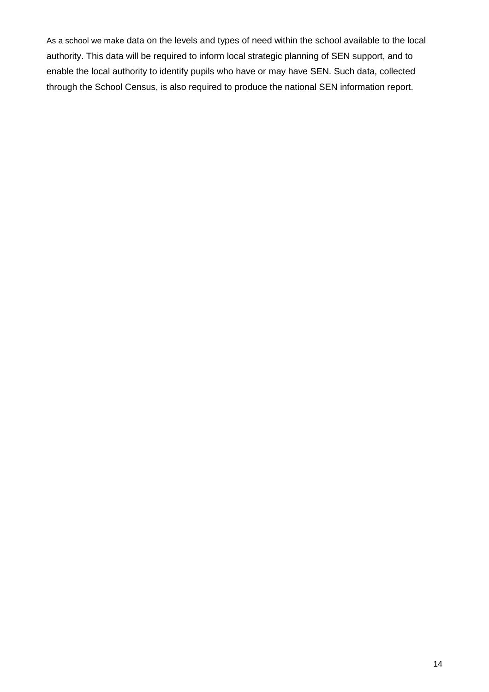As a school we make data on the levels and types of need within the school available to the local authority. This data will be required to inform local strategic planning of SEN support, and to enable the local authority to identify pupils who have or may have SEN. Such data, collected through the School Census, is also required to produce the national SEN information report.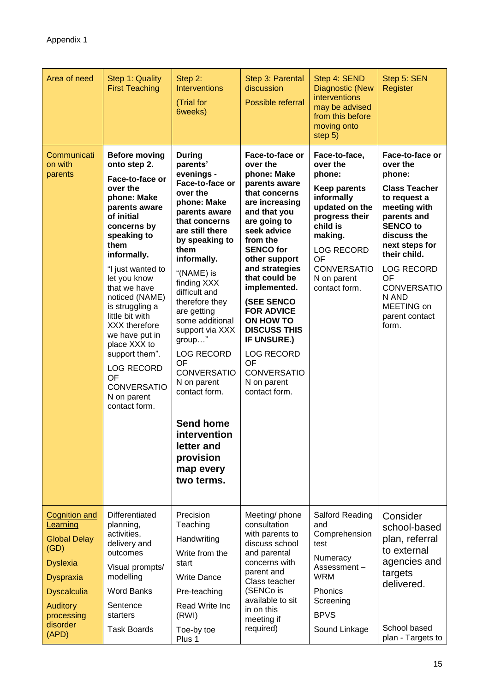| Area of need                                                                                                                                                                | Step 1: Quality<br><b>First Teaching</b>                                                                                                                                                                                                                                                                                                                                                                                                  | Step 2:<br><b>Interventions</b><br>(Trial for<br>6weeks)                                                                                                                                                                                                                                                                                                                                                                                                                                      | Step 3: Parental<br>discussion<br>Possible referral                                                                                                                                                                                                                                                                                                                                                                                     | Step 4: SEND<br><b>Diagnostic (New</b><br>interventions<br>may be advised<br>from this before<br>moving onto<br>step 5)                                                                                              | Step 5: SEN<br>Register                                                                                                                                                                                                                                                             |
|-----------------------------------------------------------------------------------------------------------------------------------------------------------------------------|-------------------------------------------------------------------------------------------------------------------------------------------------------------------------------------------------------------------------------------------------------------------------------------------------------------------------------------------------------------------------------------------------------------------------------------------|-----------------------------------------------------------------------------------------------------------------------------------------------------------------------------------------------------------------------------------------------------------------------------------------------------------------------------------------------------------------------------------------------------------------------------------------------------------------------------------------------|-----------------------------------------------------------------------------------------------------------------------------------------------------------------------------------------------------------------------------------------------------------------------------------------------------------------------------------------------------------------------------------------------------------------------------------------|----------------------------------------------------------------------------------------------------------------------------------------------------------------------------------------------------------------------|-------------------------------------------------------------------------------------------------------------------------------------------------------------------------------------------------------------------------------------------------------------------------------------|
| Communicati<br>on with<br>parents                                                                                                                                           | <b>Before moving</b><br>onto step 2.<br>Face-to-face or<br>over the<br>phone: Make<br>parents aware<br>of initial<br>concerns by<br>speaking to<br>them<br>informally.<br>"I just wanted to<br>let you know<br>that we have<br>noticed (NAME)<br>is struggling a<br>little bit with<br>XXX therefore<br>we have put in<br>place XXX to<br>support them".<br><b>LOG RECORD</b><br>OF<br><b>CONVERSATIO</b><br>N on parent<br>contact form. | <b>During</b><br>parents'<br>evenings -<br>Face-to-face or<br>over the<br>phone: Make<br>parents aware<br>that concerns<br>are still there<br>by speaking to<br>them<br>informally.<br>"(NAME) is<br>finding XXX<br>difficult and<br>therefore they<br>are getting<br>some additional<br>support via XXX<br>group"<br>LOG RECORD<br><b>OF</b><br><b>CONVERSATIO</b><br>N on parent<br>contact form.<br><b>Send home</b><br>intervention<br>letter and<br>provision<br>map every<br>two terms. | Face-to-face or<br>over the<br>phone: Make<br>parents aware<br>that concerns<br>are increasing<br>and that you<br>are going to<br>seek advice<br>from the<br><b>SENCO for</b><br>other support<br>and strategies<br>that could be<br>implemented.<br><b>(SEE SENCO)</b><br><b>FOR ADVICE</b><br>ON HOW TO<br><b>DISCUSS THIS</b><br><b>IF UNSURE.)</b><br><b>LOG RECORD</b><br>OF<br><b>CONVERSATIO</b><br>N on parent<br>contact form. | Face-to-face,<br>over the<br>phone:<br><b>Keep parents</b><br>informally<br>updated on the<br>progress their<br>child is<br>making.<br><b>LOG RECORD</b><br>OF<br><b>CONVERSATIO</b><br>N on parent<br>contact form. | Face-to-face or<br>over the<br>phone:<br><b>Class Teacher</b><br>to request a<br>meeting with<br>parents and<br><b>SENCO to</b><br>discuss the<br>next steps for<br>their child.<br><b>LOG RECORD</b><br>OF<br><b>CONVERSATIO</b><br>N AND<br>MEETING on<br>parent contact<br>form. |
| Cognition and<br>Learning<br><b>Global Delay</b><br>(GD)<br><b>Dyslexia</b><br><b>Dyspraxia</b><br><b>Dyscalculia</b><br><b>Auditory</b><br>processing<br>disorder<br>(APD) | Differentiated<br>planning,<br>activities,<br>delivery and<br>outcomes<br>Visual prompts/<br>modelling<br><b>Word Banks</b><br>Sentence<br>starters<br><b>Task Boards</b>                                                                                                                                                                                                                                                                 | Precision<br>Teaching<br>Handwriting<br>Write from the<br>start<br><b>Write Dance</b><br>Pre-teaching<br>Read Write Inc<br>(RWI)<br>Toe-by toe                                                                                                                                                                                                                                                                                                                                                | Meeting/ phone<br>consultation<br>with parents to<br>discuss school<br>and parental<br>concerns with<br>parent and<br>Class teacher<br>(SENCo is<br>available to sit<br>in on this<br>meeting if<br>required)                                                                                                                                                                                                                           | Salford Reading<br>and<br>Comprehension<br>test<br>Numeracy<br>Assessment-<br>WRM<br>Phonics<br>Screening<br><b>BPVS</b><br>Sound Linkage                                                                            | Consider<br>school-based<br>plan, referral<br>to external<br>agencies and<br>targets<br>delivered.<br>School based<br>plan - Targets to                                                                                                                                             |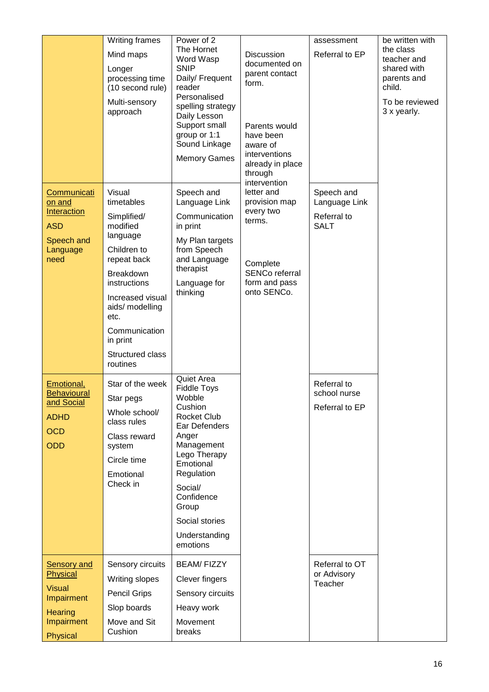|                                                                                                           | Writing frames<br>Mind maps<br>Longer<br>processing time<br>(10 second rule)<br>Multi-sensory<br>approach                                                                                                                          | Power of 2<br>The Hornet<br>Word Wasp<br><b>SNIP</b><br>Daily/ Frequent<br>reader<br>Personalised<br>spelling strategy<br>Daily Lesson<br>Support small<br>group or 1:1<br>Sound Linkage<br><b>Memory Games</b>                                 | Discussion<br>documented on<br>parent contact<br>form.<br>Parents would<br>have been<br>aware of<br>interventions<br>already in place<br>through<br>intervention | assessment<br>Referral to EP                              | be written with<br>the class<br>teacher and<br>shared with<br>parents and<br>child.<br>To be reviewed<br>3 x yearly. |
|-----------------------------------------------------------------------------------------------------------|------------------------------------------------------------------------------------------------------------------------------------------------------------------------------------------------------------------------------------|-------------------------------------------------------------------------------------------------------------------------------------------------------------------------------------------------------------------------------------------------|------------------------------------------------------------------------------------------------------------------------------------------------------------------|-----------------------------------------------------------|----------------------------------------------------------------------------------------------------------------------|
| Communicati<br>on and<br>Interaction<br><b>ASD</b><br>Speech and<br>Language<br>need                      | Visual<br>timetables<br>Simplified/<br>modified<br>language<br>Children to<br>repeat back<br>Breakdown<br>instructions<br>Increased visual<br>aids/ modelling<br>etc.<br>Communication<br>in print<br>Structured class<br>routines | Speech and<br>Language Link<br>Communication<br>in print<br>My Plan targets<br>from Speech<br>and Language<br>therapist<br>Language for<br>thinking                                                                                             | letter and<br>provision map<br>every two<br>terms.<br>Complete<br>SENCo referral<br>form and pass<br>onto SENCo.                                                 | Speech and<br>Language Link<br>Referral to<br><b>SALT</b> |                                                                                                                      |
| Emotional,<br><b>Behavioural</b><br>and Social<br><b>ADHD</b><br><b>OCD</b><br>ODD                        | Star of the week<br>Star pegs<br>Whole school/<br>class rules<br>Class reward<br>system<br>Circle time<br>Emotional<br>Check in                                                                                                    | Quiet Area<br><b>Fiddle Toys</b><br>Wobble<br>Cushion<br><b>Rocket Club</b><br>Ear Defenders<br>Anger<br>Management<br>Lego Therapy<br>Emotional<br>Regulation<br>Social/<br>Confidence<br>Group<br>Social stories<br>Understanding<br>emotions |                                                                                                                                                                  | Referral to<br>school nurse<br>Referral to EP             |                                                                                                                      |
| <b>Sensory and</b><br>Physical<br><b>Visual</b><br><b>Impairment</b><br>Hearing<br>Impairment<br>Physical | Sensory circuits<br>Writing slopes<br><b>Pencil Grips</b><br>Slop boards<br>Move and Sit<br>Cushion                                                                                                                                | <b>BEAM/FIZZY</b><br>Clever fingers<br>Sensory circuits<br>Heavy work<br>Movement<br>breaks                                                                                                                                                     |                                                                                                                                                                  | Referral to OT<br>or Advisory<br>Teacher                  |                                                                                                                      |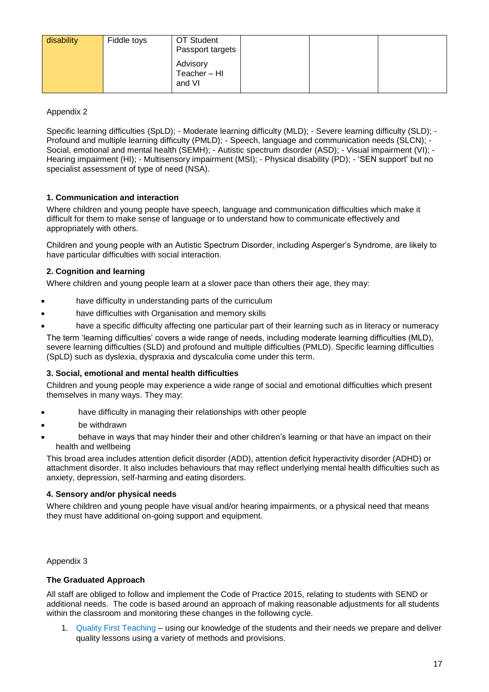| disability | Fiddle toys | OT Student<br>Passport targets   |  |  |
|------------|-------------|----------------------------------|--|--|
|            |             | Advisory<br>Teacher-HI<br>and VI |  |  |

Appendix 2

Specific learning difficulties (SpLD); - Moderate learning difficulty (MLD); - Severe learning difficulty (SLD); - Profound and multiple learning difficulty (PMLD); - Speech, language and communication needs (SLCN); - Social, emotional and mental health (SEMH); - Autistic spectrum disorder (ASD); - Visual impairment (VI); - Hearing impairment (HI); - Multisensory impairment (MSI); - Physical disability (PD); - 'SEN support' but no specialist assessment of type of need (NSA).

### **1. Communication and interaction**

Where children and young people have speech, language and communication difficulties which make it difficult for them to make sense of language or to understand how to communicate effectively and appropriately with others.

Children and young people with an Autistic Spectrum Disorder, including Asperger's Syndrome, are likely to have particular difficulties with social interaction.

### **2. Cognition and learning**

Where children and young people learn at a slower pace than others their age, they may:

- have difficulty in understanding parts of the curriculum
- have difficulties with Organisation and memory skills
- have a specific difficulty affecting one particular part of their learning such as in literacy or numeracy

The term 'learning difficulties' covers a wide range of needs, including moderate learning difficulties (MLD), severe learning difficulties (SLD) and profound and multiple difficulties (PMLD). Specific learning difficulties (SpLD) such as dyslexia, dyspraxia and dyscalculia come under this term.

#### **3. Social, emotional and mental health difficulties**

Children and young people may experience a wide range of social and emotional difficulties which present themselves in many ways. They may:

- have difficulty in managing their relationships with other people
- be withdrawn
- behave in ways that may hinder their and other children's learning or that have an impact on their health and wellbeing

This broad area includes attention deficit disorder (ADD), attention deficit hyperactivity disorder (ADHD) or attachment disorder. It also includes behaviours that may reflect underlying mental health difficulties such as anxiety, depression, self-harming and eating disorders.

#### **4. Sensory and/or physical needs**

Where children and young people have visual and/or hearing impairments, or a physical need that means they must have additional on-going support and equipment.

Appendix 3

#### **The Graduated Approach**

All staff are obliged to follow and implement the Code of Practice 2015, relating to students with SEND or additional needs. The code is based around an approach of making reasonable adjustments for all students within the classroom and monitoring these changes in the following cycle.

1. Quality First Teaching – using our knowledge of the students and their needs we prepare and deliver quality lessons using a variety of methods and provisions.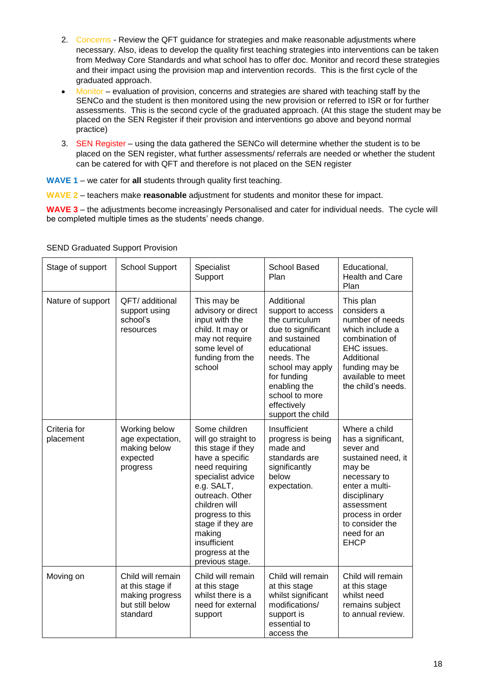- 2. Concerns Review the QFT guidance for strategies and make reasonable adjustments where necessary. Also, ideas to develop the quality first teaching strategies into interventions can be taken from Medway Core Standards and what school has to offer doc. Monitor and record these strategies and their impact using the provision map and intervention records. This is the first cycle of the graduated approach.
- Monitor evaluation of provision, concerns and strategies are shared with teaching staff by the SENCo and the student is then monitored using the new provision or referred to ISR or for further assessments. This is the second cycle of the graduated approach. (At this stage the student may be placed on the SEN Register if their provision and interventions go above and beyond normal practice)
- 3. SEN Register using the data gathered the SENCo will determine whether the student is to be placed on the SEN register, what further assessments/ referrals are needed or whether the student can be catered for with QFT and therefore is not placed on the SEN register
- **WAVE 1** we cater for **all** students through quality first teaching.

**WAVE 2** – teachers make **reasonable** adjustment for students and monitor these for impact.

**WAVE 3** – the adjustments become increasingly Personalised and cater for individual needs. The cycle will be completed multiple times as the students' needs change.

| Stage of support          | <b>School Support</b>                                                                   | Specialist<br>Support                                                                                                                                                                                                                                                           | <b>School Based</b><br>Plan                                                                                                                                                                                                    | Educational,<br>Health and Care<br>Plan                                                                                                                                                                               |
|---------------------------|-----------------------------------------------------------------------------------------|---------------------------------------------------------------------------------------------------------------------------------------------------------------------------------------------------------------------------------------------------------------------------------|--------------------------------------------------------------------------------------------------------------------------------------------------------------------------------------------------------------------------------|-----------------------------------------------------------------------------------------------------------------------------------------------------------------------------------------------------------------------|
| Nature of support         | QFT/ additional<br>support using<br>school's<br>resources                               | This may be<br>advisory or direct<br>input with the<br>child. It may or<br>may not require<br>some level of<br>funding from the<br>school                                                                                                                                       | Additional<br>support to access<br>the curriculum<br>due to significant<br>and sustained<br>educational<br>needs. The<br>school may apply<br>for funding<br>enabling the<br>school to more<br>effectively<br>support the child | This plan<br>considers a<br>number of needs<br>which include a<br>combination of<br>EHC issues.<br>Additional<br>funding may be<br>available to meet<br>the child's needs.                                            |
| Criteria for<br>placement | Working below<br>age expectation,<br>making below<br>expected<br>progress               | Some children<br>will go straight to<br>this stage if they<br>have a specific<br>need requiring<br>specialist advice<br>e.g. SALT,<br>outreach. Other<br>children will<br>progress to this<br>stage if they are<br>making<br>insufficient<br>progress at the<br>previous stage. | Insufficient<br>progress is being<br>made and<br>standards are<br>significantly<br>below<br>expectation.                                                                                                                       | Where a child<br>has a significant,<br>sever and<br>sustained need, it<br>may be<br>necessary to<br>enter a multi-<br>disciplinary<br>assessment<br>process in order<br>to consider the<br>need for an<br><b>EHCP</b> |
| Moving on                 | Child will remain<br>at this stage if<br>making progress<br>but still below<br>standard | Child will remain<br>at this stage<br>whilst there is a<br>need for external<br>support                                                                                                                                                                                         | Child will remain<br>at this stage<br>whilst significant<br>modifications/<br>support is<br>essential to<br>access the                                                                                                         | Child will remain<br>at this stage<br>whilst need<br>remains subject<br>to annual review.                                                                                                                             |

SEND Graduated Support Provision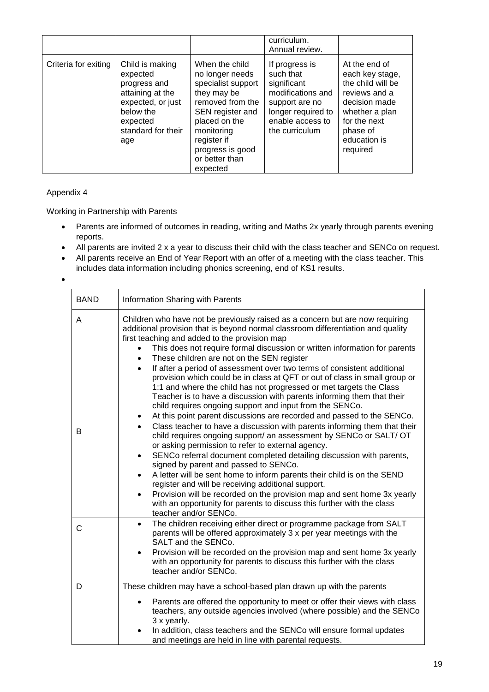|                      |                                                                                                                                            |                                                                                                                                                                                                                | curriculum.<br>Annual review.                                                                                                                 |                                                                                                                                                                   |
|----------------------|--------------------------------------------------------------------------------------------------------------------------------------------|----------------------------------------------------------------------------------------------------------------------------------------------------------------------------------------------------------------|-----------------------------------------------------------------------------------------------------------------------------------------------|-------------------------------------------------------------------------------------------------------------------------------------------------------------------|
| Criteria for exiting | Child is making<br>expected<br>progress and<br>attaining at the<br>expected, or just<br>below the<br>expected<br>standard for their<br>age | When the child<br>no longer needs<br>specialist support<br>they may be<br>removed from the<br>SEN register and<br>placed on the<br>monitoring<br>register if<br>progress is good<br>or better than<br>expected | If progress is<br>such that<br>significant<br>modifications and<br>support are no<br>longer required to<br>enable access to<br>the curriculum | At the end of<br>each key stage,<br>the child will be<br>reviews and a<br>decision made<br>whether a plan<br>for the next<br>phase of<br>education is<br>required |

### Appendix 4

Working in Partnership with Parents

- Parents are informed of outcomes in reading, writing and Maths 2x yearly through parents evening reports.
- All parents are invited 2 x a year to discuss their child with the class teacher and SENCo on request.
- All parents receive an End of Year Report with an offer of a meeting with the class teacher. This includes data information including phonics screening, end of KS1 results.
- •

| <b>BAND</b> | Information Sharing with Parents                                                                                                                                                                                                                                                                                                                                                                                                                                                                                                                                                                                                                                                                                                                                                               |  |  |
|-------------|------------------------------------------------------------------------------------------------------------------------------------------------------------------------------------------------------------------------------------------------------------------------------------------------------------------------------------------------------------------------------------------------------------------------------------------------------------------------------------------------------------------------------------------------------------------------------------------------------------------------------------------------------------------------------------------------------------------------------------------------------------------------------------------------|--|--|
| A           | Children who have not be previously raised as a concern but are now requiring<br>additional provision that is beyond normal classroom differentiation and quality<br>first teaching and added to the provision map<br>This does not require formal discussion or written information for parents<br>These children are not on the SEN register<br>If after a period of assessment over two terms of consistent additional<br>provision which could be in class at QFT or out of class in small group or<br>1:1 and where the child has not progressed or met targets the Class<br>Teacher is to have a discussion with parents informing them that their<br>child requires ongoing support and input from the SENCo.<br>At this point parent discussions are recorded and passed to the SENCo. |  |  |
| B           | Class teacher to have a discussion with parents informing them that their<br>$\bullet$<br>child requires ongoing support/ an assessment by SENCo or SALT/ OT<br>or asking permission to refer to external agency.<br>SENCo referral document completed detailing discussion with parents,<br>$\bullet$<br>signed by parent and passed to SENCo.<br>A letter will be sent home to inform parents their child is on the SEND<br>$\bullet$<br>register and will be receiving additional support.<br>Provision will be recorded on the provision map and sent home 3x yearly<br>$\bullet$<br>with an opportunity for parents to discuss this further with the class<br>teacher and/or SENCo.                                                                                                       |  |  |
| C           | The children receiving either direct or programme package from SALT<br>$\bullet$<br>parents will be offered approximately 3 x per year meetings with the<br>SALT and the SENCo.<br>Provision will be recorded on the provision map and sent home 3x yearly<br>with an opportunity for parents to discuss this further with the class<br>teacher and/or SENCo.                                                                                                                                                                                                                                                                                                                                                                                                                                  |  |  |
| D           | These children may have a school-based plan drawn up with the parents<br>Parents are offered the opportunity to meet or offer their views with class<br>teachers, any outside agencies involved (where possible) and the SENCo<br>3 x yearly.<br>In addition, class teachers and the SENCo will ensure formal updates<br>and meetings are held in line with parental requests.                                                                                                                                                                                                                                                                                                                                                                                                                 |  |  |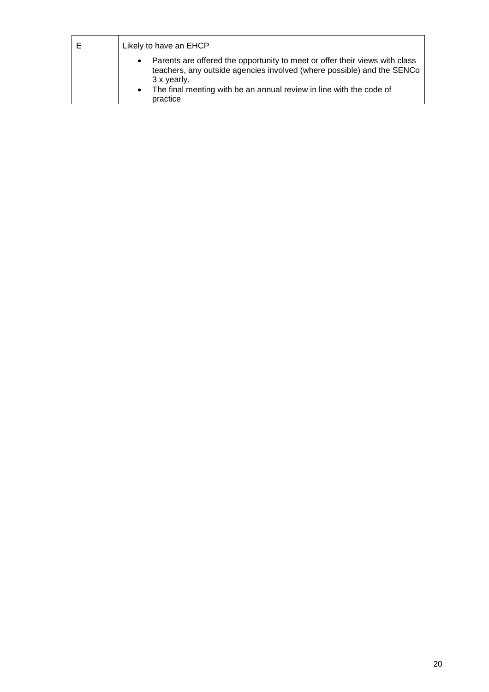| E | Likely to have an EHCP                                                                                                                                                                                                                                                            |  |  |
|---|-----------------------------------------------------------------------------------------------------------------------------------------------------------------------------------------------------------------------------------------------------------------------------------|--|--|
|   | Parents are offered the opportunity to meet or offer their views with class<br>$\bullet$<br>teachers, any outside agencies involved (where possible) and the SENCo<br>3 x yearly.<br>The final meeting with be an annual review in line with the code of<br>$\bullet$<br>practice |  |  |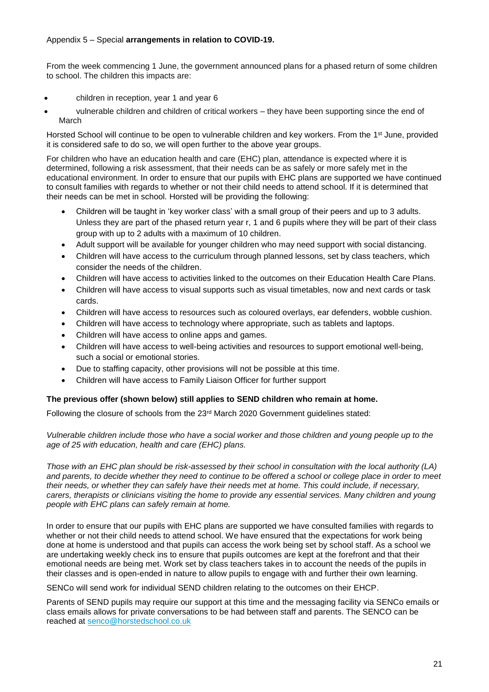#### Appendix 5 – Special **arrangements in relation to COVID-19.**

From the week commencing 1 June, the government announced plans for a phased return of some children to school. The children this impacts are:

- children in reception, year 1 and year 6
- vulnerable children and children of critical workers they have been supporting since the end of March

Horsted School will continue to be open to vulnerable children and key workers. From the 1<sup>st</sup> June, provided it is considered safe to do so, we will open further to the above year groups.

For children who have an education health and care (EHC) plan, attendance is expected where it is determined, following a risk assessment, that their needs can be as safely or more safely met in the educational environment. In order to ensure that our pupils with EHC plans are supported we have continued to consult families with regards to whether or not their child needs to attend school. If it is determined that their needs can be met in school. Horsted will be providing the following:

- Children will be taught in 'key worker class' with a small group of their peers and up to 3 adults. Unless they are part of the phased return year r, 1 and 6 pupils where they will be part of their class group with up to 2 adults with a maximum of 10 children.
- Adult support will be available for younger children who may need support with social distancing.
- Children will have access to the curriculum through planned lessons, set by class teachers, which consider the needs of the children.
- Children will have access to activities linked to the outcomes on their Education Health Care Plans.
- Children will have access to visual supports such as visual timetables, now and next cards or task cards.
- Children will have access to resources such as coloured overlays, ear defenders, wobble cushion.
- Children will have access to technology where appropriate, such as tablets and laptops.
- Children will have access to online apps and games.
- Children will have access to well-being activities and resources to support emotional well-being, such a social or emotional stories.
- Due to staffing capacity, other provisions will not be possible at this time.
- Children will have access to Family Liaison Officer for further support

#### **The previous offer (shown below) still applies to SEND children who remain at home.**

Following the closure of schools from the 23rd March 2020 Government guidelines stated:

*Vulnerable children include those who have a social worker and those children and young people up to the age of 25 with education, health and care (EHC) plans.*

*Those with an EHC plan should be risk-assessed by their school in consultation with the local authority (LA) and parents, to decide whether they need to continue to be offered a school or college place in order to meet their needs, or whether they can safely have their needs met at home. This could include, if necessary, carers, therapists or clinicians visiting the home to provide any essential services. Many children and young people with EHC plans can safely remain at home.*

In order to ensure that our pupils with EHC plans are supported we have consulted families with regards to whether or not their child needs to attend school. We have ensured that the expectations for work being done at home is understood and that pupils can access the work being set by school staff. As a school we are undertaking weekly check ins to ensure that pupils outcomes are kept at the forefront and that their emotional needs are being met. Work set by class teachers takes in to account the needs of the pupils in their classes and is open-ended in nature to allow pupils to engage with and further their own learning.

SENCo will send work for individual SEND children relating to the outcomes on their EHCP.

Parents of SEND pupils may require our support at this time and the messaging facility via SENCo emails or class emails allows for private conversations to be had between staff and parents. The SENCO can be reached at [senco@horstedschool.co.uk](mailto:senco@horstedschool.co.uk)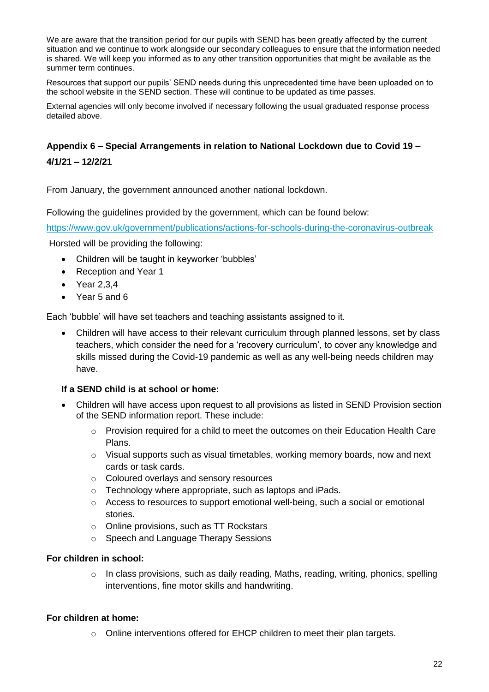We are aware that the transition period for our pupils with SEND has been greatly affected by the current situation and we continue to work alongside our secondary colleagues to ensure that the information needed is shared. We will keep you informed as to any other transition opportunities that might be available as the summer term continues.

Resources that support our pupils' SEND needs during this unprecedented time have been uploaded on to the school website in the SEND section. These will continue to be updated as time passes.

External agencies will only become involved if necessary following the usual graduated response process detailed above.

# **Appendix 6 – Special Arrangements in relation to National Lockdown due to Covid 19 –**

# **4/1/21 – 12/2/21**

From January, the government announced another national lockdown.

Following the guidelines provided by the government, which can be found below:

<https://www.gov.uk/government/publications/actions-for-schools-during-the-coronavirus-outbreak>

Horsted will be providing the following:

- Children will be taught in keyworker 'bubbles'
- Reception and Year 1
- Year 2,3,4
- Year 5 and 6

Each 'bubble' will have set teachers and teaching assistants assigned to it.

• Children will have access to their relevant curriculum through planned lessons, set by class teachers, which consider the need for a 'recovery curriculum', to cover any knowledge and skills missed during the Covid-19 pandemic as well as any well-being needs children may have.

# **If a SEND child is at school or home:**

- Children will have access upon request to all provisions as listed in SEND Provision section of the SEND information report. These include:
	- $\circ$  Provision required for a child to meet the outcomes on their Education Health Care Plans.
	- $\circ$  Visual supports such as visual timetables, working memory boards, now and next cards or task cards.
	- o Coloured overlays and sensory resources
	- o Technology where appropriate, such as laptops and iPads.
	- $\circ$  Access to resources to support emotional well-being, such a social or emotional stories.
	- o Online provisions, such as TT Rockstars
	- o Speech and Language Therapy Sessions

# **For children in school:**

 $\circ$  In class provisions, such as daily reading, Maths, reading, writing, phonics, spelling interventions, fine motor skills and handwriting.

# **For children at home:**

o Online interventions offered for EHCP children to meet their plan targets.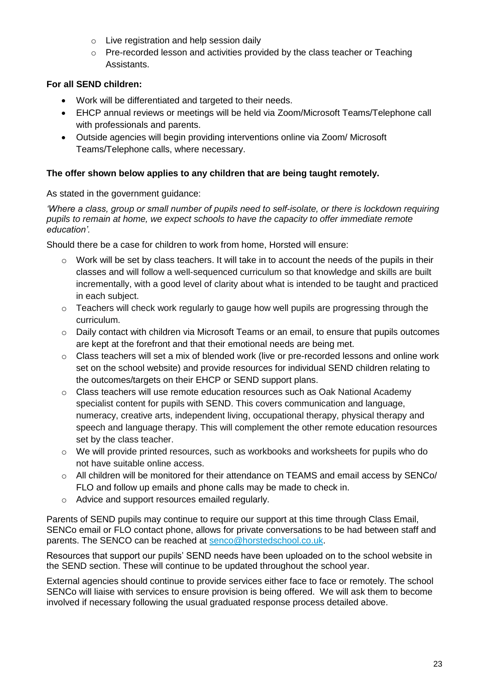- o Live registration and help session daily
- $\circ$  Pre-recorded lesson and activities provided by the class teacher or Teaching Assistants.

# **For all SEND children:**

- Work will be differentiated and targeted to their needs.
- EHCP annual reviews or meetings will be held via Zoom/Microsoft Teams/Telephone call with professionals and parents.
- Outside agencies will begin providing interventions online via Zoom/ Microsoft Teams/Telephone calls, where necessary.

# **The offer shown below applies to any children that are being taught remotely.**

As stated in the government guidance:

*'Where a class, group or small number of pupils need to self-isolate, or there is lockdown requiring pupils to remain at home, we expect schools to have the capacity to offer immediate remote education'.*

Should there be a case for children to work from home, Horsted will ensure:

- $\circ$  Work will be set by class teachers. It will take in to account the needs of the pupils in their classes and will follow a well-sequenced curriculum so that knowledge and skills are built incrementally, with a good level of clarity about what is intended to be taught and practiced in each subject.
- o Teachers will check work regularly to gauge how well pupils are progressing through the curriculum.
- $\circ$  Daily contact with children via Microsoft Teams or an email, to ensure that pupils outcomes are kept at the forefront and that their emotional needs are being met.
- o Class teachers will set a mix of blended work (live or pre-recorded lessons and online work set on the school website) and provide resources for individual SEND children relating to the outcomes/targets on their EHCP or SEND support plans.
- o Class teachers will use remote education resources such as Oak National Academy specialist content for pupils with SEND. This covers communication and language, numeracy, creative arts, independent living, occupational therapy, physical therapy and speech and language therapy. This will complement the other remote education resources set by the class teacher.
- $\circ$  We will provide printed resources, such as workbooks and worksheets for pupils who do not have suitable online access.
- o All children will be monitored for their attendance on TEAMS and email access by SENCo/ FLO and follow up emails and phone calls may be made to check in.
- o Advice and support resources emailed regularly.

Parents of SEND pupils may continue to require our support at this time through Class Email, SENCo email or FLO contact phone, allows for private conversations to be had between staff and parents. The SENCO can be reached at [senco@horstedschool.co.uk.](mailto:senco@horstedschool.co.uk)

Resources that support our pupils' SEND needs have been uploaded on to the school website in the SEND section. These will continue to be updated throughout the school year.

External agencies should continue to provide services either face to face or remotely. The school SENCo will liaise with services to ensure provision is being offered. We will ask them to become involved if necessary following the usual graduated response process detailed above.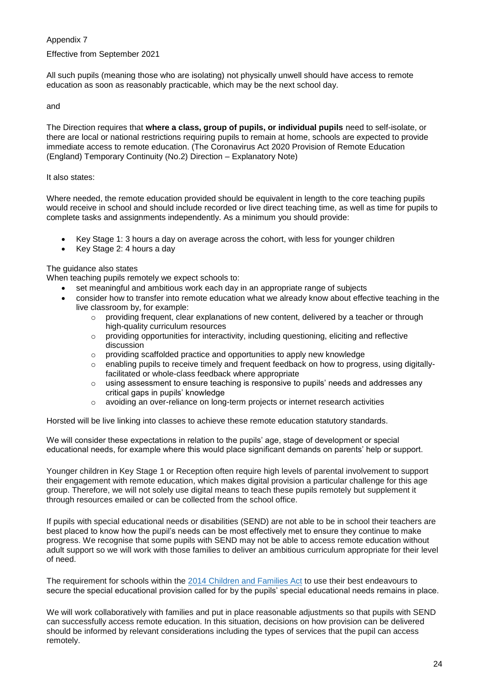#### Appendix 7

#### Effective from September 2021

All such pupils (meaning those who are isolating) not physically unwell should have access to remote education as soon as reasonably practicable, which may be the next school day.

#### and

The Direction requires that **where a class, group of pupils, or individual pupils** need to self-isolate, or there are local or national restrictions requiring pupils to remain at home, schools are expected to provide immediate access to remote education. (The Coronavirus Act 2020 Provision of Remote Education (England) Temporary Continuity (No.2) Direction – Explanatory Note)

#### It also states:

Where needed, the remote education provided should be equivalent in length to the core teaching pupils would receive in school and should include recorded or live direct teaching time, as well as time for pupils to complete tasks and assignments independently. As a minimum you should provide:

- Key Stage 1: 3 hours a day on average across the cohort, with less for younger children
- Key Stage 2: 4 hours a day

#### The guidance also states

When teaching pupils remotely we expect schools to:

- set meaningful and ambitious work each day in an appropriate range of subjects
- consider how to transfer into remote education what we already know about effective teaching in the live classroom by, for example:
	- o providing frequent, clear explanations of new content, delivered by a teacher or through high-quality curriculum resources
	- o providing opportunities for interactivity, including questioning, eliciting and reflective discussion
	- o providing scaffolded practice and opportunities to apply new knowledge
	- enabling pupils to receive timely and frequent feedback on how to progress, using digitallyfacilitated or whole-class feedback where appropriate
	- $\circ$  using assessment to ensure teaching is responsive to pupils' needs and addresses any critical gaps in pupils' knowledge
	- $\circ$  avoiding an over-reliance on long-term projects or internet research activities

Horsted will be live linking into classes to achieve these remote education statutory standards.

We will consider these expectations in relation to the pupils' age, stage of development or special educational needs, for example where this would place significant demands on parents' help or support.

Younger children in Key Stage 1 or Reception often require high levels of parental involvement to support their engagement with remote education, which makes digital provision a particular challenge for this age group. Therefore, we will not solely use digital means to teach these pupils remotely but supplement it through resources emailed or can be collected from the school office.

If pupils with special educational needs or disabilities (SEND) are not able to be in school their teachers are best placed to know how the pupil's needs can be most effectively met to ensure they continue to make progress. We recognise that some pupils with SEND may not be able to access remote education without adult support so we will work with those families to deliver an ambitious curriculum appropriate for their level of need.

The requirement for schools within the [2014 Children and Families Act](https://www.legislation.gov.uk/ukpga/2014/6/contents/enacted?utm_source=remote_education) to use their best endeavours to secure the special educational provision called for by the pupils' special educational needs remains in place.

We will work collaboratively with families and put in place reasonable adjustments so that pupils with SEND can successfully access remote education. In this situation, decisions on how provision can be delivered should be informed by relevant considerations including the types of services that the pupil can access remotely.